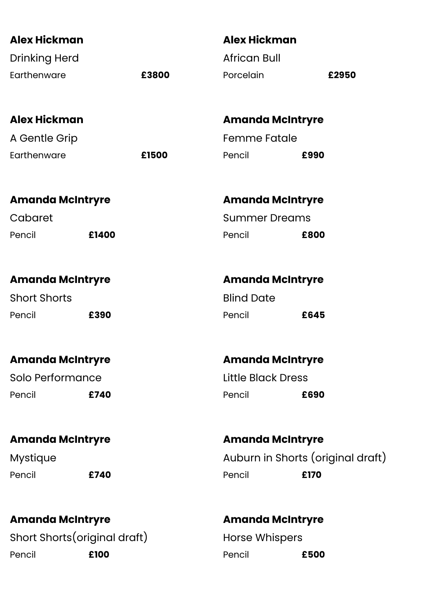| <b>Alex Hickman</b>     |                               | <b>Alex Hickman</b>       |                                   |
|-------------------------|-------------------------------|---------------------------|-----------------------------------|
| <b>Drinking Herd</b>    |                               | <b>African Bull</b>       |                                   |
| Earthenware             | £3800                         | Porcelain                 | £2950                             |
| <b>Alex Hickman</b>     |                               |                           | <b>Amanda McIntryre</b>           |
| A Gentle Grip           |                               | <b>Femme Fatale</b>       |                                   |
| Earthenware             | £1500                         | Pencil                    | £990                              |
| <b>Amanda McIntryre</b> |                               |                           | <b>Amanda McIntryre</b>           |
| Cabaret                 |                               | <b>Summer Dreams</b>      |                                   |
| Pencil                  | £1400                         | Pencil                    | £800                              |
| <b>Amanda McIntryre</b> |                               |                           | <b>Amanda McIntryre</b>           |
| <b>Short Shorts</b>     |                               | <b>Blind Date</b>         |                                   |
| Pencil                  | £390                          | Pencil                    | £645                              |
| <b>Amanda McIntryre</b> |                               |                           | <b>Amanda McIntryre</b>           |
| Solo Performance        |                               | <b>Little Black Dress</b> |                                   |
| Pencil                  | £740                          | Pencil                    | £690                              |
| <b>Amanda McIntryre</b> |                               |                           | <b>Amanda McIntryre</b>           |
| <b>Mystique</b>         |                               |                           | Auburn in Shorts (original draft) |
| Pencil                  | £740                          | Pencil                    | £170                              |
| <b>Amanda McIntryre</b> |                               |                           | <b>Amanda McIntryre</b>           |
|                         | Short Shorts (original draft) | <b>Horse Whispers</b>     |                                   |
| Pencil                  | £100                          | Pencil                    | £500                              |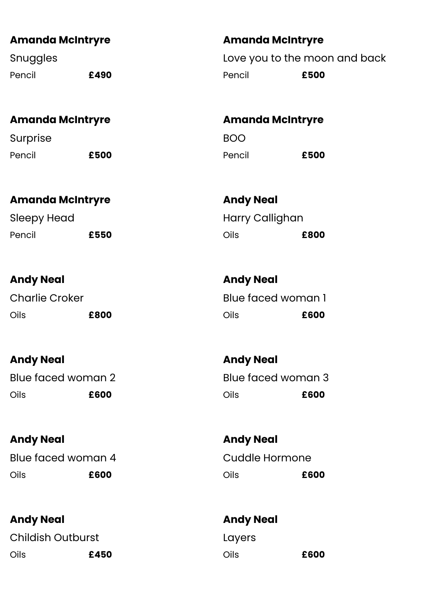| <b>Amanda McIntryre</b> |      | <b>Amanda McIntryre</b> |                               |
|-------------------------|------|-------------------------|-------------------------------|
| Snuggles                |      |                         | Love you to the moon and back |
| Pencil                  | £490 | Pencil                  | £500                          |

### **Amanda McIntryre**

Surprise Pencil **£500**

# **Amanda McIntryre**

Sleepy Head Pencil **£550**

# **Andy Neal**

Charlie Croker Oils **£800**

# **Andy Neal**

Blue faced woman 2 Oils **£600**

# **Andy Neal**

Blue faced woman 4 Oils **£600**

# **Andy Neal**

Childish Outburst Oils **£450**

# **Amanda McIntryre** BOO

Pencil **£500**

**Andy Neal** Harry Callighan Oils **£800**

**Andy Neal** Blue faced woman 1 Oils **£600**

**Andy Neal** Blue faced woman 3 Oils **£600**

**Andy Neal** Cuddle Hormone Oils **£600**

**Andy Neal** Layers Oils **£600**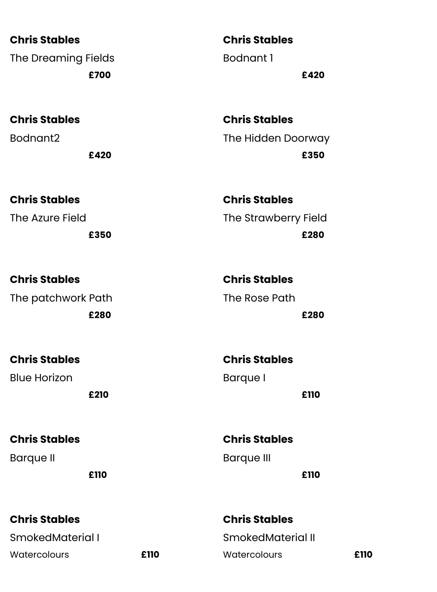**Chris Stables** The Dreaming Fields **£700**

**Chris Stables** Bodnant2

**£420**

**Chris Stables** Bodnant 1 **£420**

**Chris Stables** The Hidden Doorway **£350**

**Chris Stables** The Azure Field **£350 Chris Stables** The Strawberry Field **£280**

| <b>Chris Stables</b> | <b>Chris Stables</b> |
|----------------------|----------------------|
| The patchwork Path   | The Rose Path        |
| £280                 | £280                 |

| <b>Chris Stables</b> | <b>Chris Stables</b> |
|----------------------|----------------------|
| <b>Blue Horizon</b>  | Barque I             |
| £210                 | £110                 |

**Chris Stables** Barque II **£110**

**Chris Stables** SmokedMaterial I Watercolours **£110** **Chris Stables** Barque III **£110**

**Chris Stables** SmokedMaterial II Watercolours **£110**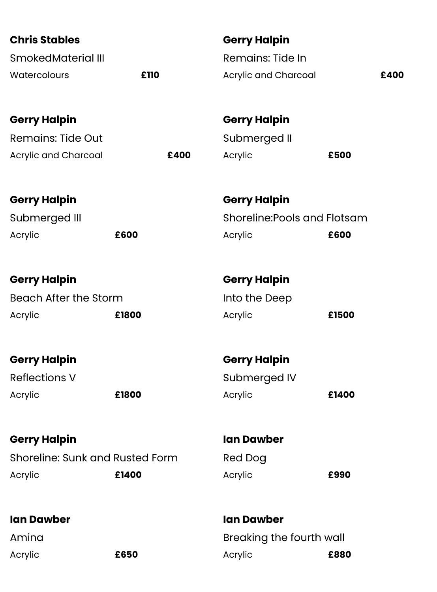| <b>Chris Stables</b>            |       |      | <b>Gerry Halpin</b>          |       |  |
|---------------------------------|-------|------|------------------------------|-------|--|
| <b>SmokedMaterial III</b>       |       |      | <b>Remains: Tide In</b>      |       |  |
| Watercolours                    | £110  |      | Acrylic and Charcoal         | £400  |  |
|                                 |       |      |                              |       |  |
| <b>Gerry Halpin</b>             |       |      | <b>Gerry Halpin</b>          |       |  |
| <b>Remains: Tide Out</b>        |       |      | Submerged II                 |       |  |
| Acrylic and Charcoal            |       | £400 | Acrylic                      | £500  |  |
| <b>Gerry Halpin</b>             |       |      | <b>Gerry Halpin</b>          |       |  |
| Submerged III                   |       |      | Shoreline: Pools and Flotsam |       |  |
| Acrylic                         | £600  |      | Acrylic                      | £600  |  |
|                                 |       |      |                              |       |  |
| <b>Gerry Halpin</b>             |       |      | <b>Gerry Halpin</b>          |       |  |
| <b>Beach After the Storm</b>    |       |      | Into the Deep                |       |  |
| Acrylic                         | £1800 |      | Acrylic                      | £1500 |  |
| <b>Gerry Halpin</b>             |       |      | <b>Gerry Halpin</b>          |       |  |
| <b>Reflections V</b>            |       |      | Submerged IV                 |       |  |
| Acrylic                         | £1800 |      | Acrylic                      | £1400 |  |
|                                 |       |      |                              |       |  |
| <b>Gerry Halpin</b>             |       |      | <b>Ian Dawber</b>            |       |  |
| Shoreline: Sunk and Rusted Form |       |      | Red Dog                      |       |  |
| Acrylic                         | £1400 |      | Acrylic                      | £990  |  |
|                                 |       |      |                              |       |  |
| <b>Ian Dawber</b>               |       |      | <b>Ian Dawber</b>            |       |  |
| Amina                           |       |      | Breaking the fourth wall     |       |  |
| Acrylic                         | £650  |      | Acrylic                      | £880  |  |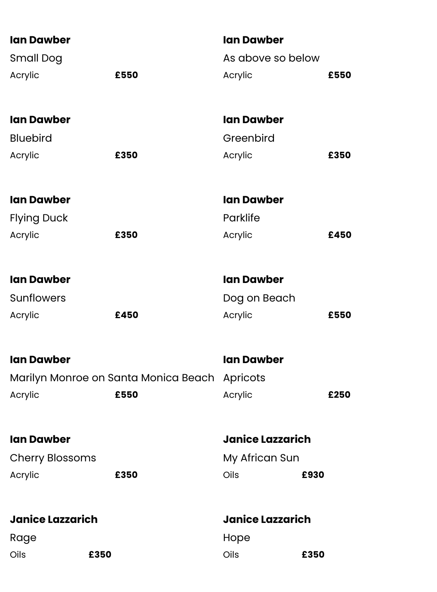| <b>Ian Dawber</b>       |                                      | <b>Ian Dawber</b>       |      |
|-------------------------|--------------------------------------|-------------------------|------|
| <b>Small Dog</b>        |                                      | As above so below       |      |
| Acrylic                 | £550                                 | Acrylic                 | £550 |
|                         |                                      |                         |      |
| <b>Ian Dawber</b>       |                                      | <b>Ian Dawber</b>       |      |
| <b>Bluebird</b>         |                                      | Greenbird               |      |
| Acrylic                 | £350                                 | Acrylic                 | £350 |
| <b>Ian Dawber</b>       |                                      | <b>Ian Dawber</b>       |      |
| <b>Flying Duck</b>      |                                      | Parklife                |      |
| Acrylic                 | £350                                 | Acrylic                 | £450 |
| <b>Ian Dawber</b>       |                                      | <b>Ian Dawber</b>       |      |
| <b>Sunflowers</b>       |                                      | Dog on Beach            |      |
| Acrylic                 | £450                                 | Acrylic                 | £550 |
| <b>Ian Dawber</b>       |                                      | <b>Ian Dawber</b>       |      |
|                         | Marilyn Monroe on Santa Monica Beach | Apricots                |      |
| Acrylic                 | £550                                 | Acrylic                 | £250 |
| <b>Ian Dawber</b>       |                                      | <b>Janice Lazzarich</b> |      |
| <b>Cherry Blossoms</b>  |                                      | My African Sun          |      |
| Acrylic                 | £350                                 | Oils<br>£930            |      |
| <b>Janice Lazzarich</b> |                                      | <b>Janice Lazzarich</b> |      |
| Rage                    |                                      | Hope                    |      |
| Oils                    | £350                                 | Oils<br>£350            |      |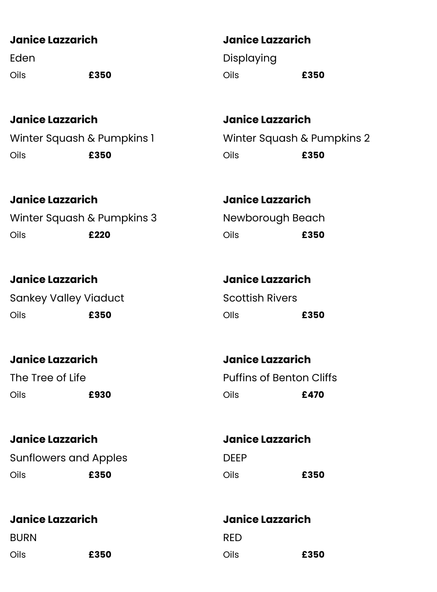#### **Janice Lazzarich**

Eden Oils **£350**

**Janice Lazzarich** Winter Squash & Pumpkins 1 Oils **£350**

Oils **£350**

**Janice Lazzarich**

Displaying

**Janice Lazzarich** Winter Squash & Pumpkins 2 Oils **£350**

**Janice Lazzarich** Winter Squash & Pumpkins 3 Oils **£220**

**Janice Lazzarich** Sankey Valley Viaduct Oils **£350**

**Janice Lazzarich** The Tree of Life Oils **£930**

# **Janice Lazzarich**

Sunflowers and Apples Oils **£350**

**Janice Lazzarich**

BURN

Oils **£350**

**Janice Lazzarich** Newborough Beach Oils **£350**

**Janice Lazzarich** Scottish Rivers OIls **£350**

**Janice Lazzarich** Puffins of Benton Cliffs Oils **£470**

**Janice Lazzarich** DEEP Oils **£350**

**Janice Lazzarich** RED Oils **£350**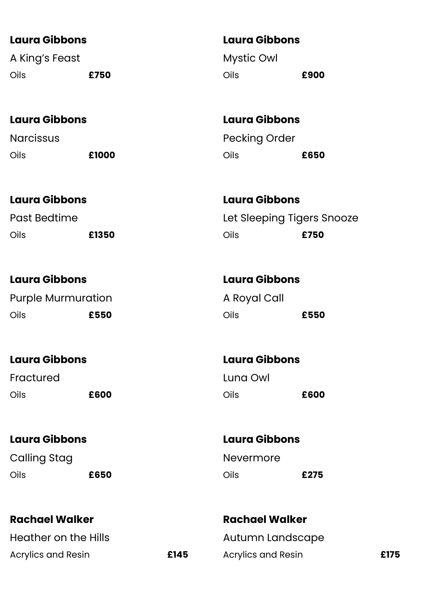#### **Laura Gibbons**

A King's Feast Oils **£750**

#### **Laura Gibbons**

**Narcissus** Oils **£1000**

## **Laura Gibbons**

Past Bedtime Oils **£1350**

## **Laura Gibbons**

Purple Murmuration Oils **£550**

## **Laura Gibbons**

Fractured Oils **£600**

#### **Laura Gibbons**

Calling Stag Oils **£650**

## **Rachael Walker**

Heather on the Hills Acrylics and Resin **£145**

## **Laura Gibbons**

Mystic Owl Oils **£900**

**Laura Gibbons** Pecking Order Oils **£650**

**Laura Gibbons** Let Sleeping Tigers Snooze Oils **£750**

## **Laura Gibbons** A Royal Call Oils **£550**

**Laura Gibbons**  Luna Owl Oils **£600**

# **Laura Gibbons**

Nevermore Oils **£275**

**Rachael Walker** Autumn Landscape Acrylics and Resin **£175**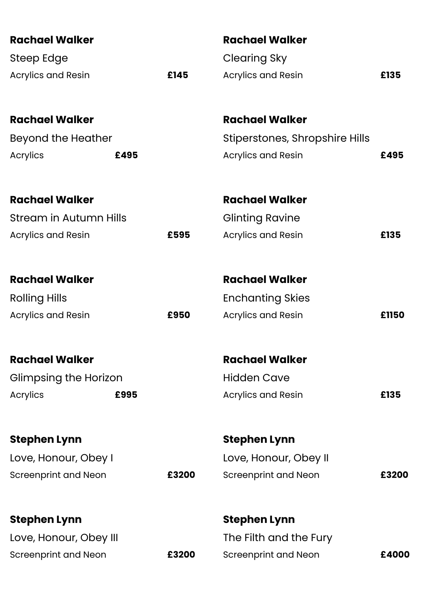| <b>Rachael Walker</b>         |      |       | <b>Rachael Walker</b>          |       |
|-------------------------------|------|-------|--------------------------------|-------|
| Steep Edge                    |      |       | <b>Clearing Sky</b>            |       |
| <b>Acrylics and Resin</b>     |      | £145  | <b>Acrylics and Resin</b>      | £135  |
|                               |      |       |                                |       |
| <b>Rachael Walker</b>         |      |       | <b>Rachael Walker</b>          |       |
| Beyond the Heather            |      |       | Stiperstones, Shropshire Hills |       |
| Acrylics                      | £495 |       | Acrylics and Resin             | £495  |
| <b>Rachael Walker</b>         |      |       | <b>Rachael Walker</b>          |       |
| <b>Stream in Autumn Hills</b> |      |       | <b>Glinting Ravine</b>         |       |
| <b>Acrylics and Resin</b>     |      | £595  | Acrylics and Resin             | £135  |
| <b>Rachael Walker</b>         |      |       | <b>Rachael Walker</b>          |       |
| <b>Rolling Hills</b>          |      |       | <b>Enchanting Skies</b>        |       |
| Acrylics and Resin            |      | £950  | <b>Acrylics and Resin</b>      | £1150 |
|                               |      |       |                                |       |
| <b>Rachael Walker</b>         |      |       | <b>Rachael Walker</b>          |       |
| Glimpsing the Horizon         |      |       | <b>Hidden Cave</b>             |       |
| Acrylics                      | £995 |       | Acrylics and Resin             | £135  |
| <b>Stephen Lynn</b>           |      |       | <b>Stephen Lynn</b>            |       |
| Love, Honour, Obey I          |      |       | Love, Honour, Obey II          |       |
| <b>Screenprint and Neon</b>   |      | £3200 | <b>Screenprint and Neon</b>    | £3200 |
| <b>Stephen Lynn</b>           |      |       | <b>Stephen Lynn</b>            |       |
| Love, Honour, Obey III        |      |       | The Filth and the Fury         |       |
| <b>Screenprint and Neon</b>   |      | £3200 | <b>Screenprint and Neon</b>    | £4000 |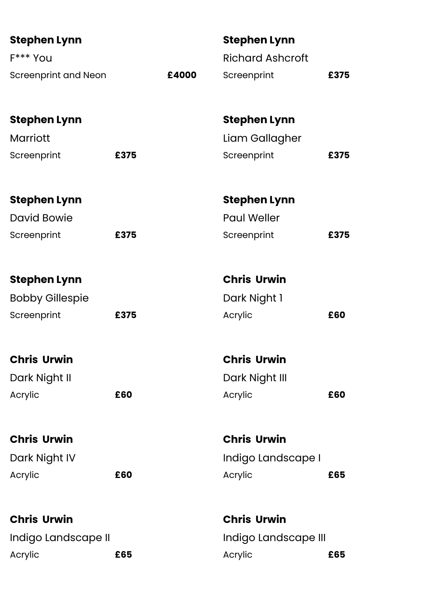| <b>Stephen Lynn</b>         |      |       | <b>Stephen Lynn</b>     |      |
|-----------------------------|------|-------|-------------------------|------|
| F*** You                    |      |       | <b>Richard Ashcroft</b> |      |
| <b>Screenprint and Neon</b> |      | £4000 | Screenprint             | £375 |
| <b>Stephen Lynn</b>         |      |       | <b>Stephen Lynn</b>     |      |
| Marriott                    |      |       | Liam Gallagher          |      |
| Screenprint                 | £375 |       | Screenprint             | £375 |
| <b>Stephen Lynn</b>         |      |       | <b>Stephen Lynn</b>     |      |
| <b>David Bowie</b>          |      |       | <b>Paul Weller</b>      |      |
| Screenprint                 | £375 |       | Screenprint             | £375 |
| <b>Stephen Lynn</b>         |      |       | <b>Chris Urwin</b>      |      |
| <b>Bobby Gillespie</b>      |      |       | Dark Night 1            |      |
| Screenprint                 | £375 |       | Acrylic                 | £60  |
| <b>Chris Urwin</b>          |      |       | <b>Chris Urwin</b>      |      |
| Dark Night II               |      |       | Dark Night III          |      |
| Acrylic                     | £60  |       | Acrylic                 | £60  |
| <b>Chris Urwin</b>          |      |       | <b>Chris Urwin</b>      |      |
| Dark Night IV               |      |       | Indigo Landscape I      |      |
| Acrylic                     | £60  |       | Acrylic                 | £65  |
| <b>Chris Urwin</b>          |      |       | <b>Chris Urwin</b>      |      |
| Indigo Landscape II         |      |       | Indigo Landscape III    |      |
| Acrylic                     | £65  |       | Acrylic                 | £65  |